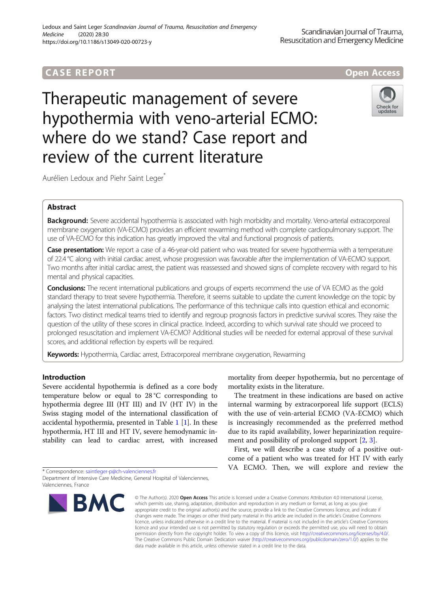# **CASE REPORT CASE ACCESS**

# Therapeutic management of severe hypothermia with veno-arterial ECMO: where do we stand? Case report and review of the current literature



Aurélien Ledoux and Piehr Saint Leger<sup>\*</sup>

# Abstract

Background: Severe accidental hypothermia is associated with high morbidity and mortality. Veno-arterial extracorporeal membrane oxygenation (VA-ECMO) provides an efficient rewarming method with complete cardiopulmonary support. The use of VA-ECMO for this indication has greatly improved the vital and functional prognosis of patients.

Case presentation: We report a case of a 46-year-old patient who was treated for severe hypothermia with a temperature of 22.4 °C along with initial cardiac arrest, whose progression was favorable after the implementation of VA-ECMO support. Two months after initial cardiac arrest, the patient was reassessed and showed signs of complete recovery with regard to his mental and physical capacities.

**Conclusions:** The recent international publications and groups of experts recommend the use of VA ECMO as the gold standard therapy to treat severe hypothermia. Therefore, it seems suitable to update the current knowledge on the topic by analysing the latest international publications. The performance of this technique calls into question ethical and economic factors. Two distinct medical teams tried to identify and regroup prognosis factors in predictive survival scores. They raise the question of the utility of these scores in clinical practice. Indeed, according to which survival rate should we proceed to prolonged resuscitation and implement VA-ECMO? Additional studies will be needed for external approval of these survival scores, and additional reflection by experts will be required.

Keywords: Hypothermia, Cardiac arrest, Extracorporeal membrane oxygenation, Rewarming

# Introduction

Severe accidental hypothermia is defined as a core body temperature below or equal to 28 °C corresponding to hypothermia degree III (HT III) and IV (HT IV) in the Swiss staging model of the international classification of accidental hypothermia, presented in Table [1](#page-1-0) [\[1](#page-4-0)]. In these hypothermia, HT III and HT IV, severe hemodynamic instability can lead to cardiac arrest, with increased

\* Correspondence: [saintleger-p@ch-valenciennes.fr](mailto:saintleger-p@ch-valenciennes.fr)

Department of Intensive Care Medicine, General Hospital of Valenciennes, Valenciennes, France



mortality from deeper hypothermia, but no percentage of mortality exists in the literature.

The treatment in these indications are based on active internal warming by extracorporeal life support (ECLS) with the use of vein-arterial ECMO (VA-ECMO) which is increasingly recommended as the preferred method due to its rapid availability, lower heparinization requirement and possibility of prolonged support [\[2](#page-4-0), [3](#page-4-0)].

First, we will describe a case study of a positive outcome of a patient who was treated for HT IV with early VA ECMO. Then, we will explore and review the

© The Author(s), 2020 **Open Access** This article is licensed under a Creative Commons Attribution 4.0 International License, which permits use, sharing, adaptation, distribution and reproduction in any medium or format, as long as you give appropriate credit to the original author(s) and the source, provide a link to the Creative Commons licence, and indicate if changes were made. The images or other third party material in this article are included in the article's Creative Commons licence, unless indicated otherwise in a credit line to the material. If material is not included in the article's Creative Commons licence and your intended use is not permitted by statutory regulation or exceeds the permitted use, you will need to obtain permission directly from the copyright holder. To view a copy of this licence, visit [http://creativecommons.org/licenses/by/4.0/.](http://creativecommons.org/licenses/by/4.0/) The Creative Commons Public Domain Dedication waiver [\(http://creativecommons.org/publicdomain/zero/1.0/](http://creativecommons.org/publicdomain/zero/1.0/)) applies to the data made available in this article, unless otherwise stated in a credit line to the data.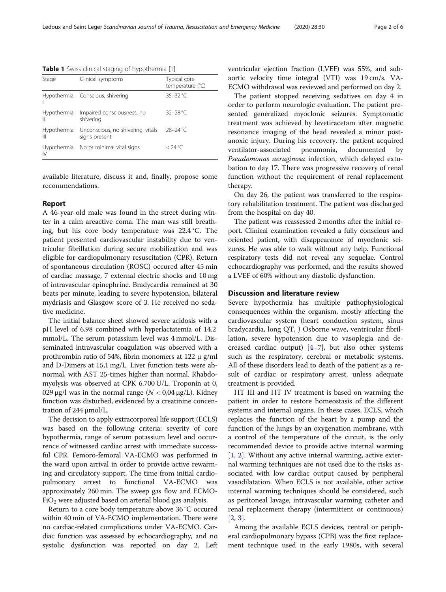<span id="page-1-0"></span>Table 1 Swiss clinical staging of hypothermia [[1\]](#page-4-0)

| Stage            | Clinical symptoms                                  | Typical core<br>temperature (°C) |
|------------------|----------------------------------------------------|----------------------------------|
|                  | Hypothermia Conscious, shivering                   | $35 - 32$ °C                     |
| Hypothermia<br>Ш | Impaired consciousness, no<br>shivering            | $32 - 28$ °C                     |
| Hypothermia<br>Ш | Unconscious, no shivering, vitals<br>signs present | $28 - 24$ °C                     |
| IV               | Hypothermia No or minimal vital signs              | $<$ 24 °C                        |

available literature, discuss it and, finally, propose some recommendations.

### Report

A 46-year-old male was found in the street during winter in a calm areactive coma. The man was still breathing, but his core body temperature was 22.4 °C. The patient presented cardiovascular instability due to ventricular fibrillation during secure mobilization and was eligible for cardiopulmonary resuscitation (CPR). Return of spontaneous circulation (ROSC) occured after 45 min of cardiac massage, 7 external electric shocks and 10 mg of intravascular epinephrine. Bradycardia remained at 30 beats per minute, leading to severe hypotension, bilateral mydriasis and Glasgow score of 3. He received no sedative medicine.

The initial balance sheet showed severe acidosis with a pH level of 6.98 combined with hyperlactatemia of 14.2 mmol/L. The serum potassium level was 4 mmol/L. Disseminated intravascular coagulation was observed with a prothrombin ratio of 54%, fibrin monomers at 122 μ g/ml and D-Dimers at 15,1 mg/L. Liver function tests were abnormal, with AST 25-times higher than normal. Rhabdomyolysis was observed at CPK 6.700 U/L. Troponin at 0, 029 μg/l was in the normal range ( $N < 0.04$  μg/L). Kidney function was disturbed, evidenced by a creatinine concentration of 244 μmol/L.

The decision to apply extracorporeal life support (ECLS) was based on the following criteria: severity of core hypothermia, range of serum potassium level and occurrence of witnessed cardiac arrest with immediate successful CPR. Femoro-femoral VA-ECMO was performed in the ward upon arrival in order to provide active rewarming and circulatory support. The time from initial cardiopulmonary arrest to functional VA-ECMO was approximately 260 min. The sweep gas flow and ECMO- $FiO<sub>2</sub>$  were adjusted based on arterial blood gas analysis.

Return to a core body temperature above 36 °C occured within 40 min of VA-ECMO implementation. There were no cardiac-related complications under VA-ECMO. Cardiac function was assessed by echocardiography, and no systolic dysfunction was reported on day 2. Left ventricular ejection fraction (LVEF) was 55%, and subaortic velocity time integral (VTI) was 19 cm/s. VA-ECMO withdrawal was reviewed and performed on day 2.

The patient stopped receiving sedatives on day 4 in order to perform neurologic evaluation. The patient presented generalized myoclonic seizures. Symptomatic treatment was achieved by levetiracetam after magnetic resonance imaging of the head revealed a minor postanoxic injury. During his recovery, the patient acquired ventilator-associated pneumonia, documented by Pseudomonas aeruginosa infection, which delayed extubation to day 17. There was progressive recovery of renal function without the requirement of renal replacement therapy.

On day 26, the patient was transferred to the respiratory rehabilitation treatment. The patient was discharged from the hospital on day 40.

The patient was reassessed 2 months after the initial report. Clinical examination revealed a fully conscious and oriented patient, with disappearance of myoclonic seizures. He was able to walk without any help. Functional respiratory tests did not reveal any sequelae. Control echocardiography was performed, and the results showed a LVEF of 60% without any diastolic dysfunction.

### Discussion and literature review

Severe hypothermia has multiple pathophysiological consequences within the organism, mostly affecting the cardiovascular system (heart conduction system, sinus bradycardia, long QT, J Osborne wave, ventricular fibrillation, severe hypotension due to vasoplegia and decreased cardiac output)  $[4-7]$  $[4-7]$  $[4-7]$  $[4-7]$  $[4-7]$ , but also other systems such as the respiratory, cerebral or metabolic systems. All of these disorders lead to death of the patient as a result of cardiac or respiratory arrest, unless adequate treatment is provided.

HT III and HT IV treatment is based on warming the patient in order to restore homeostasis of the different systems and internal organs. In these cases, ECLS, which replaces the function of the heart by a pump and the function of the lungs by an oxygenation membrane, with a control of the temperature of the circuit, is the only recommended device to provide active internal warming [[1,](#page-4-0) [2\]](#page-4-0). Without any active internal warming, active external warming techniques are not used due to the risks associated with low cardiac output caused by peripheral vasodilatation. When ECLS is not available, other active internal warming techniques should be considered, such as peritoneal lavage, intravascular warming catheter and renal replacement therapy (intermittent or continuous) [[2,](#page-4-0) [3\]](#page-4-0).

Among the available ECLS devices, central or peripheral cardiopulmonary bypass (CPB) was the first replacement technique used in the early 1980s, with several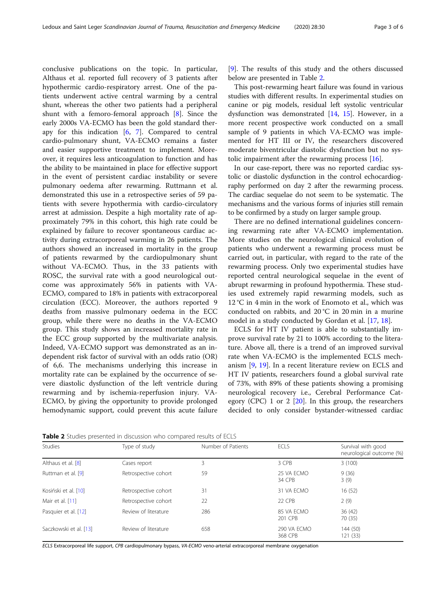conclusive publications on the topic. In particular, Althaus et al. reported full recovery of 3 patients after hypothermic cardio-respiratory arrest. One of the patients underwent active central warming by a central shunt, whereas the other two patients had a peripheral shunt with a femoro-femoral approach [[8\]](#page-4-0). Since the early 2000s VA-ECMO has been the gold standard therapy for this indication  $[6, 7]$  $[6, 7]$  $[6, 7]$  $[6, 7]$  $[6, 7]$ . Compared to central cardio-pulmonary shunt, VA-ECMO remains a faster and easier supportive treatment to implement. Moreover, it requires less anticoagulation to function and has the ability to be maintained in place for effective support in the event of persistent cardiac instability or severe pulmonary oedema after rewarming. Ruttmann et al. demonstrated this use in a retrospective series of 59 patients with severe hypothermia with cardio-circulatory arrest at admission. Despite a high mortality rate of approximately 79% in this cohort, this high rate could be explained by failure to recover spontaneous cardiac activity during extracorporeal warming in 26 patients. The authors showed an increased in mortality in the group of patients rewarmed by the cardiopulmonary shunt without VA-ECMO. Thus, in the 33 patients with ROSC, the survival rate with a good neurological outcome was approximately 56% in patients with VA-ECMO, compared to 18% in patients with extracorporeal circulation (ECC). Moreover, the authors reported 9 deaths from massive pulmonary oedema in the ECC group, while there were no deaths in the VA-ECMO group. This study shows an increased mortality rate in the ECC group supported by the multivariate analysis. Indeed, VA-ECMO support was demonstrated as an independent risk factor of survival with an odds ratio (OR) of 6,6. The mechanisms underlying this increase in mortality rate can be explained by the occurrence of severe diastolic dysfunction of the left ventricle during rewarming and by ischemia-reperfusion injury. VA-ECMO, by giving the opportunity to provide prolonged hemodynamic support, could prevent this acute failure

[[9\]](#page-4-0). The results of this study and the others discussed below are presented in Table 2.

This post-rewarming heart failure was found in various studies with different results. In experimental studies on canine or pig models, residual left systolic ventricular dysfunction was demonstrated  $[14, 15]$  $[14, 15]$  $[14, 15]$ . However, in a more recent prospective work conducted on a small sample of 9 patients in which VA-ECMO was implemented for HT III or IV, the researchers discovered moderate biventricular diastolic dysfunction but no systolic impairment after the rewarming process [[16\]](#page-4-0).

In our case-report, there was no reported cardiac systolic or diastolic dysfunction in the control echocardiography performed on day 2 after the rewarming process. The cardiac sequelae do not seem to be systematic. The mechanisms and the various forms of injuries still remain to be confirmed by a study on larger sample group.

There are no defined international guidelines concerning rewarming rate after VA-ECMO implementation. More studies on the neurological clinical evolution of patients who underwent a rewarming process must be carried out, in particular, with regard to the rate of the rewarming process. Only two experimental studies have reported central neurological sequelae in the event of abrupt rewarming in profound hypothermia. These studies used extremely rapid rewarming models, such as 12 °C in 4 min in the work of Enomoto et al., which was conducted on rabbits, and 20 °C in 20 min in a murine model in a study conducted by Gordan et al. [[17,](#page-4-0) [18\]](#page-4-0).

ECLS for HT IV patient is able to substantially improve survival rate by 21 to 100% according to the literature. Above all, there is a trend of an improved survival rate when VA-ECMO is the implemented ECLS mechanism [[9](#page-4-0), [19\]](#page-5-0). In a recent literature review on ECLS and HT IV patients, researchers found a global survival rate of 73%, with 89% of these patients showing a promising neurological recovery i.e., Cerebral Performance Category (CPC) 1 or 2  $[20]$  $[20]$ . In this group, the researchers decided to only consider bystander-witnessed cardiac

Studies **Subset Constructs** Type of study **Number of Patients** ECLS **Survival with good** Survival with good neurological outcome (%) Althaus et al. [\[8](#page-4-0)] Cases report 3 3 CPB 3 (100) Ruttman et al. [[9\]](#page-4-0) **Retrospective cohort** 59 25 VA ECMO 34 CPB 9 (36) 3 (9) Kosiński et al. [[10](#page-4-0)] Retrospective cohort 31 31 31 VA ECMO 16 (52) Mair et al. [\[11](#page-4-0)] Retrospective cohort 22 22 CPB 2 (9) Pasquier et al. [[12](#page-4-0)] Review of literature 286 85 VA ECMO 201 CPB 36 (42) 70 (35) Saczkowski et al. [[13](#page-4-0)] Review of literature 658 658 290 VA ECMO 368 CPB 144 (50) 121 (33)

Table 2 Studies presented in discussion who compared results of ECLS

ECLS Extracorporeal life support, CPB cardiopulmonary bypass, VA-ECMO veno-arterial extracorporeal membrane oxygenation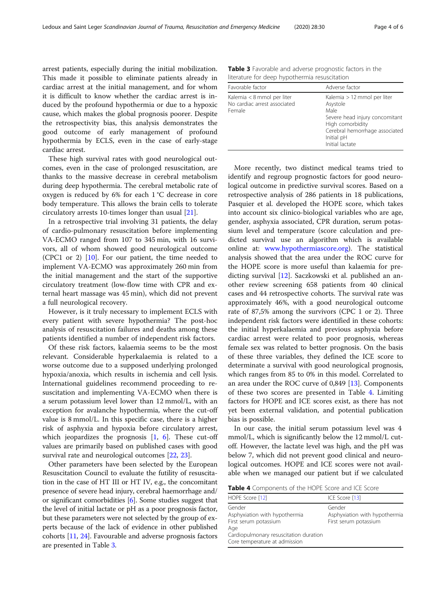arrest patients, especially during the initial mobilization. This made it possible to eliminate patients already in cardiac arrest at the initial management, and for whom it is difficult to know whether the cardiac arrest is induced by the profound hypothermia or due to a hypoxic cause, which makes the global prognosis poorer. Despite the retrospectivity bias, this analysis demonstrates the good outcome of early management of profound hypothermia by ECLS, even in the case of early-stage

cardiac arrest. These high survival rates with good neurological outcomes, even in the case of prolonged resuscitation, are thanks to the massive decrease in cerebral metabolism during deep hypothermia. The cerebral metabolic rate of oxygen is reduced by 6% for each 1 °C decrease in core body temperature. This allows the brain cells to tolerate circulatory arrests 10-times longer than usual [\[21\]](#page-5-0).

In a retrospective trial involving 31 patients, the delay of cardio-pulmonary resuscitation before implementing VA-ECMO ranged from 107 to 345 min, with 16 survivors, all of whom showed good neurological outcome (CPC1 or 2) [\[10\]](#page-4-0). For our patient, the time needed to implement VA-ECMO was approximately 260 min from the initial management and the start of the supportive circulatory treatment (low-flow time with CPR and external heart massage was 45 min), which did not prevent a full neurological recovery.

However, is it truly necessary to implement ECLS with every patient with severe hypothermia? The post-hoc analysis of resuscitation failures and deaths among these patients identified a number of independent risk factors.

Of these risk factors, kalaemia seems to be the most relevant. Considerable hyperkalaemia is related to a worse outcome due to a supposed underlying prolonged hypoxia/anoxia, which results in ischemia and cell lysis. International guidelines recommend proceeding to resuscitation and implementing VA-ECMO when there is a serum potassium level lower than 12 mmol/L, with an exception for avalanche hypothermia, where the cut-off value is 8 mmol/L. In this specific case, there is a higher risk of asphyxia and hypoxia before circulatory arrest, which jeopardizes the prognosis  $[1, 6]$  $[1, 6]$  $[1, 6]$  $[1, 6]$  $[1, 6]$ . These cut-off values are primarily based on published cases with good survival rate and neurological outcomes [\[22](#page-5-0), [23\]](#page-5-0).

Other parameters have been selected by the European Resuscitation Council to evaluate the futility of resuscitation in the case of HT III or HT IV, e.g., the concomitant presence of severe head injury, cerebral haemorrhage and/ or significant comorbidities [\[6](#page-4-0)]. Some studies suggest that the level of initial lactate or pH as a poor prognosis factor, but these parameters were not selected by the group of experts because of the lack of evidence in other published cohorts [[11](#page-4-0), [24\]](#page-5-0). Favourable and adverse prognosis factors are presented in Table 3.

Table 3 Favorable and adverse prognostic factors in the literature for deep hypothermia resuscitation

| Favorable factor                                                     | Adverse factor                                                                                                                                                           |  |
|----------------------------------------------------------------------|--------------------------------------------------------------------------------------------------------------------------------------------------------------------------|--|
| Kalemia < 8 mmol per liter<br>No cardiac arrest associated<br>Female | Kalemia > 12 mmol per liter<br>Asystole<br>Male<br>Severe head injury concomitant<br>High comorbidity<br>Cerebral hemorrhage associated<br>Initial pH<br>Initial lactate |  |

More recently, two distinct medical teams tried to identify and regroup prognostic factors for good neurological outcome in predictive survival scores. Based on a retrospective analysis of 286 patients in 18 publications, Pasquier et al. developed the HOPE score, which takes into account six clinico-biological variables who are age, gender, asphyxia associated, CPR duration, serum potassium level and temperature (score calculation and predicted survival use an algorithm which is available online at: [www.hypothermiascore.org](http://www.hypothermiascore.org)). The statistical analysis showed that the area under the ROC curve for the HOPE score is more useful than kalaemia for predicting survival [[12\]](#page-4-0). Saczkowski et al. published an another review screening 658 patients from 40 clinical cases and 44 retrospective cohorts. The survival rate was approximately 46%, with a good neurological outcome rate of 87,5% among the survivors (CPC 1 or 2). Three independent risk factors were identified in these cohorts: the initial hyperkalaemia and previous asphyxia before cardiac arrest were related to poor prognosis, whereas female sex was related to better prognosis. On the basis of these three variables, they defined the ICE score to determinate a survival with good neurological prognosis, which ranges from 85 to 0% in this model. Correlated to an area under the ROC curve of 0,849 [[13\]](#page-4-0). Components of these two scores are presented in Table 4. Limiting factors for HOPE and ICE scores exist, as there has not yet been external validation, and potential publication bias is possible.

In our case, the initial serum potassium level was 4 mmol/L, which is significantly below the 12 mmol/L cutoff. However, the lactate level was high, and the pH was below 7, which did not prevent good clinical and neurological outcomes. HOPE and ICE scores were not available when we managed our patient but if we calculated

Table 4 Components of the HOPE Score and ICE Score

| HOPE Score [12]                                                                                                                                    | ICE Score [13]                                                   |
|----------------------------------------------------------------------------------------------------------------------------------------------------|------------------------------------------------------------------|
| Gender<br>Asphyxiation with hypothermia<br>First serum potassium<br>Age<br>Cardiopulmonary resuscitation duration<br>Core temperature at admission | Gender<br>Asphyxiation with hypothermia<br>First serum potassium |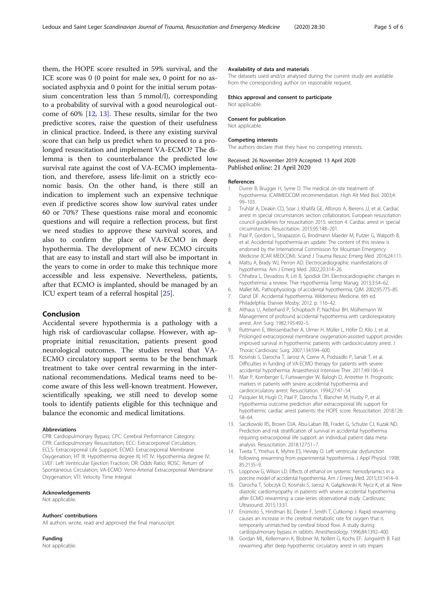<span id="page-4-0"></span>them, the HOPE score resulted in 59% survival, and the ICE score was 0 (0 point for male sex, 0 point for no associated asphyxia and 0 point for the initial serum potassium concentration less than 5 mmol/l), corresponding to a probability of survival with a good neurological outcome of 60% [12, 13]. These results, similar for the two predictive scores, raise the question of their usefulness in clinical practice. Indeed, is there any existing survival score that can help us predict when to proceed to a prolonged resuscitation and implement VA-ECMO? The dilemma is then to counterbalance the predicted low survival rate against the cost of VA-ECMO implementation, and therefore, assess life-limit on a strictly economic basis. On the other hand, is there still an indication to implement such an expensive technique even if predictive scores show low survival rates under 60 or 70%? These questions raise moral and economic questions and will require a reflection process, but first we need studies to approve these survival scores, and also to confirm the place of VA-ECMO in deep hypothermia. The development of new ECMO circuits that are easy to install and start will also be important in the years to come in order to make this technique more accessible and less expensive. Nevertheless, patients, after that ECMO is implanted, should be managed by an ICU expert team of a referral hospital [\[25](#page-5-0)].

### Conclusion

Accidental severe hypothermia is a pathology with a high risk of cardiovascular collapse. However, with appropriate initial resuscitation, patients present good neurological outcomes. The studies reveal that VA-ECMO circulatory support seems to be the benchmark treatment to take over central rewarming in the international recommendations. Medical teams need to become aware of this less well-known treatment. However, scientifically speaking, we still need to develop some tools to identify patients eligible for this technique and balance the economic and medical limitations.

#### Abbreviations

CPB: Cardiopulmonary Bypass; CPC: Cerebral Performance Category; CPR: Cardiopulmonary Resuscitation; ECC: Extracorporeal Circulation; ECLS: Extracorporeal Life Support; ECMO: Extracorporeal Membrane Oxygenation; HT III: Hypothermia degree III; HT IV: Hypothermia degree IV; LVEF: Left Ventricular Ejection Fraction; OR: Odds Ratio; ROSC: Return of Spontaneous Circulation; VA-ECMO: Veno-Arterial Extracorporeal Membrane Oxygenation; VTI: Velocity Time Integral

#### Acknowledgements

Not applicable.

#### Authors' contributions

All authors wrote, read and approved the final manuscript.

#### Funding

Not applicable.

#### Availability of data and materials

The datasets used and/or analysed during the current study are available from the corresponding author on reasonable request.

#### Ethics approval and consent to participate Not applicable.

## Consent for publication

Not applicable.

#### Competing interests

The authors declare that they have no competing interests.

#### Received: 26 November 2019 Accepted: 13 April 2020 Published online: 21 April 2020

#### References

- 1. Durrer B, Brugger H, Syme D. The medical on-site treatment of hypothermia: ICARMEDCOM recommendation. High Alt Med Biol. 2003;4: 99–103.
- 2. Truhlář A, Deakin CD, Soar J, Khalifa GE, Alfonzo A, Bierens JJ, et al. Cardiac arrest in special circumstances section collaborators. European resuscitation council guidelines for resuscitation 2015: section 4. Cardiac arrest in special circumstances. Resuscitation. 2015;95:148–201.
- 3. Paal P, Gordon L, Strapazzon G, Brodmann Maeder M, Putzer G, Walpoth B, et al. Accidental hypothermia-an update: The content of this review is endorsed by the International Commission for Mountain Emergency Medicine (ICAR MEDCOM). Scand J Trauma Resusc Emerg Med. 2016;24:111.
- 4. Mattu A, Brady WJ, Perron AD. Electrocardiographic manifestations of hypothermia. Am J Emerg Med. 2002;20:314–26.
- 5. Chhabra L, Devadoss R, Liti B, Spodick DH. Electrocardiographic changes in hypothermia: a review. Ther Hypothermia Temp Manag. 2013;3:54–62.
- 6. Mallet ML. Pathophysiology of accidental hypothermia. QJM. 2002;95:775–85.
- 7. Danzl DF. Accidental hypothermia. Wilderness Medicine. 6th ed. Philadelphia: Elsevier Mosby; 2012. p. 116–42.
- 8. Althaus U, Aeberhard P, Schüpbach P, Nachbur BH, Mülhemann W. Management of profound accidental hypothermia with cardiorespiratory arrest. Ann Surg. 1982;195:492–5.
- 9. Ruttmann E, Weissenbacher A, Ulmer H, Müller L, Höfer D, Kilo J, et al. Prolonged extracorporeal membrane oxygenation-assisted support provides improved survival in hypothermic patients with cardiocirculatory arrest. J Thorac Cardiovasc Surg. 2007;134:594–600.
- 10. Kosiński S, Darocha T, Jarosz A, Czerw A, Podsiadło P, Sanak T, et al. Difficulties in funding of VA-ECMO therapy for patients with severe accidental hypothermia. Anaesthesiol Intensive Ther. 2017;49:106–9.
- 11. Mair P, Kornberger E, Furtwaengler W, Balogh D, Antretter H. Prognostic markers in patients with severe accidental hypothermia and cardiocirculatory arrest. Resuscitation. 1994;27:47–54.
- 12. Pasquier M, Hugli O, Paal P, Darocha T, Blancher M, Husby P, et al. Hypothermia outcome prediction after extracorporeal life support for hypothermic cardiac arrest patients: the HOPE score. Resuscitation. 2018;126: 58–64.
- 13. Saczkowski RS, Brown DJA, Abu-Laban RB, Fradet G, Schulze CJ, Kuzak ND. Prediction and risk stratification of survival in accidental hypothermia requiring extracorporeal life support: an individual patient data metaanalysis. Resuscitation. 2018;127:51–7.
- 14. Tveita T, Ytrehus K, Myhre ES, Hevrøy O. Left ventricular dysfunction following rewarming from experimental hypothermia. J Appl Physiol. 1998; 85:2135–9.
- 15. Loppnow G, Wilson LD. Effects of ethanol on systemic hemodynamics in a porcine model of accidental hypothermia. Am J Emerg Med. 2015;33:1414–9.
- 16. Darocha T, Sobczyk D, Kosiński S, Jarosz A, Gałązkowski R, Nycz K, et al. New diastolic cardiomyopathy in patients with severe accidental hypothermia after ECMO rewarming: a case-series observational study. Cardiovasc Ultrasound. 2015;13:31.
- 17. Enomoto S, Hindman BJ, Dexter F, Smith T, Cutkomp J. Rapid rewarming causes an increase in the cerebral metabolic rate for oxygen that is temporarily unmatched by cerebral blood flow. A study during cardiopulmonary bypass in rabbits. Anesthesiology. 1996;84:1392–400.
- 18. Gordan ML, Kellermann K, Blobner M, Nollert G, Kochs EF, Jungwirth B. Fast rewarming after deep hypothermic circulatory arrest in rats impairs